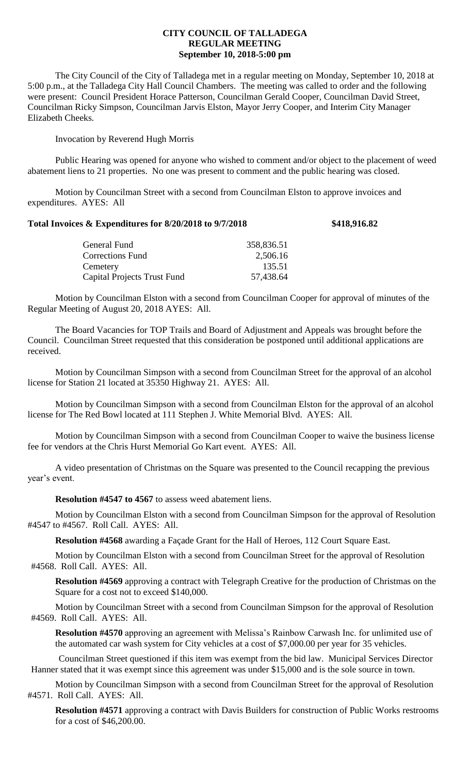## **CITY COUNCIL OF TALLADEGA REGULAR MEETING September 10, 2018-5:00 pm**

The City Council of the City of Talladega met in a regular meeting on Monday, September 10, 2018 at 5:00 p.m., at the Talladega City Hall Council Chambers. The meeting was called to order and the following were present: Council President Horace Patterson, Councilman Gerald Cooper, Councilman David Street, Councilman Ricky Simpson, Councilman Jarvis Elston, Mayor Jerry Cooper, and Interim City Manager Elizabeth Cheeks.

Invocation by Reverend Hugh Morris

Public Hearing was opened for anyone who wished to comment and/or object to the placement of weed abatement liens to 21 properties. No one was present to comment and the public hearing was closed.

Motion by Councilman Street with a second from Councilman Elston to approve invoices and expenditures. AYES: All

## **Total Invoices & Expenditures for 8/20/2018 to 9/7/2018 \$418,916.82**

| 358,836.51 |
|------------|
| 2,506.16   |
| 135.51     |
| 57,438.64  |
|            |

Motion by Councilman Elston with a second from Councilman Cooper for approval of minutes of the Regular Meeting of August 20, 2018 AYES: All.

The Board Vacancies for TOP Trails and Board of Adjustment and Appeals was brought before the Council. Councilman Street requested that this consideration be postponed until additional applications are received.

Motion by Councilman Simpson with a second from Councilman Street for the approval of an alcohol license for Station 21 located at 35350 Highway 21. AYES: All.

Motion by Councilman Simpson with a second from Councilman Elston for the approval of an alcohol license for The Red Bowl located at 111 Stephen J. White Memorial Blvd. AYES: All.

Motion by Councilman Simpson with a second from Councilman Cooper to waive the business license fee for vendors at the Chris Hurst Memorial Go Kart event. AYES: All.

A video presentation of Christmas on the Square was presented to the Council recapping the previous year's event.

**Resolution #4547 to 4567** to assess weed abatement liens.

Motion by Councilman Elston with a second from Councilman Simpson for the approval of Resolution #4547 to #4567. Roll Call. AYES: All.

**Resolution #4568** awarding a Façade Grant for the Hall of Heroes, 112 Court Square East.

Motion by Councilman Elston with a second from Councilman Street for the approval of Resolution #4568. Roll Call. AYES: All.

**Resolution #4569** approving a contract with Telegraph Creative for the production of Christmas on the Square for a cost not to exceed \$140,000.

Motion by Councilman Street with a second from Councilman Simpson for the approval of Resolution #4569. Roll Call. AYES: All.

**Resolution #4570** approving an agreement with Melissa's Rainbow Carwash Inc. for unlimited use of the automated car wash system for City vehicles at a cost of \$7,000.00 per year for 35 vehicles.

Councilman Street questioned if this item was exempt from the bid law. Municipal Services Director Hanner stated that it was exempt since this agreement was under \$15,000 and is the sole source in town.

Motion by Councilman Simpson with a second from Councilman Street for the approval of Resolution #4571. Roll Call. AYES: All.

**Resolution #4571** approving a contract with Davis Builders for construction of Public Works restrooms for a cost of \$46,200.00.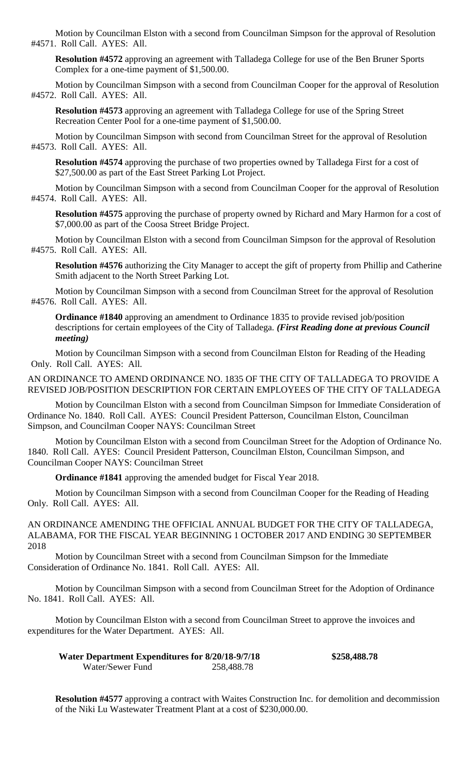Motion by Councilman Elston with a second from Councilman Simpson for the approval of Resolution #4571. Roll Call. AYES: All.

**Resolution #4572** approving an agreement with Talladega College for use of the Ben Bruner Sports Complex for a one-time payment of \$1,500.00.

Motion by Councilman Simpson with a second from Councilman Cooper for the approval of Resolution #4572. Roll Call. AYES: All.

**Resolution #4573** approving an agreement with Talladega College for use of the Spring Street Recreation Center Pool for a one-time payment of \$1,500.00.

Motion by Councilman Simpson with second from Councilman Street for the approval of Resolution #4573. Roll Call. AYES: All.

**Resolution #4574** approving the purchase of two properties owned by Talladega First for a cost of \$27,500.00 as part of the East Street Parking Lot Project.

Motion by Councilman Simpson with a second from Councilman Cooper for the approval of Resolution #4574. Roll Call. AYES: All.

**Resolution #4575** approving the purchase of property owned by Richard and Mary Harmon for a cost of \$7,000.00 as part of the Coosa Street Bridge Project.

Motion by Councilman Elston with a second from Councilman Simpson for the approval of Resolution #4575. Roll Call. AYES: All.

**Resolution #4576** authorizing the City Manager to accept the gift of property from Phillip and Catherine Smith adjacent to the North Street Parking Lot.

Motion by Councilman Simpson with a second from Councilman Street for the approval of Resolution #4576. Roll Call. AYES: All.

**Ordinance #1840** approving an amendment to Ordinance 1835 to provide revised job/position descriptions for certain employees of the City of Talladega. *(First Reading done at previous Council meeting)*

Motion by Councilman Simpson with a second from Councilman Elston for Reading of the Heading Only. Roll Call. AYES: All.

AN ORDINANCE TO AMEND ORDINANCE NO. 1835 OF THE CITY OF TALLADEGA TO PROVIDE A REVISED JOB/POSITION DESCRIPTION FOR CERTAIN EMPLOYEES OF THE CITY OF TALLADEGA

Motion by Councilman Elston with a second from Councilman Simpson for Immediate Consideration of Ordinance No. 1840. Roll Call. AYES: Council President Patterson, Councilman Elston, Councilman Simpson, and Councilman Cooper NAYS: Councilman Street

Motion by Councilman Elston with a second from Councilman Street for the Adoption of Ordinance No. 1840. Roll Call. AYES: Council President Patterson, Councilman Elston, Councilman Simpson, and Councilman Cooper NAYS: Councilman Street

**Ordinance #1841** approving the amended budget for Fiscal Year 2018.

Motion by Councilman Simpson with a second from Councilman Cooper for the Reading of Heading Only. Roll Call. AYES: All.

AN ORDINANCE AMENDING THE OFFICIAL ANNUAL BUDGET FOR THE CITY OF TALLADEGA, ALABAMA, FOR THE FISCAL YEAR BEGINNING 1 OCTOBER 2017 AND ENDING 30 SEPTEMBER 2018

Motion by Councilman Street with a second from Councilman Simpson for the Immediate Consideration of Ordinance No. 1841. Roll Call. AYES: All.

Motion by Councilman Simpson with a second from Councilman Street for the Adoption of Ordinance No. 1841. Roll Call. AYES: All.

Motion by Councilman Elston with a second from Councilman Street to approve the invoices and expenditures for the Water Department. AYES: All.

| Water Department Expenditures for 8/20/18-9/7/18 |            | \$258,488.78 |
|--------------------------------------------------|------------|--------------|
| Water/Sewer Fund                                 | 258,488.78 |              |

**Resolution #4577** approving a contract with Waites Construction Inc. for demolition and decommission of the Niki Lu Wastewater Treatment Plant at a cost of \$230,000.00.